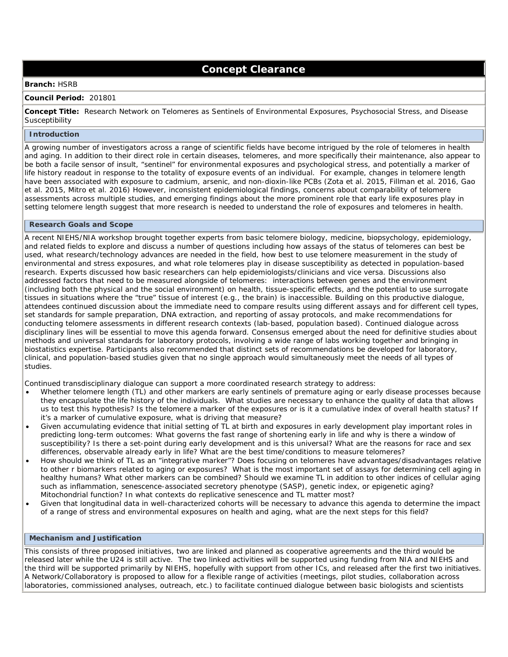# **Concept Clearance**

### **Branch:** HSRB

#### **Council Period:** 201801

 **Concept Title:** Research Network on Telomeres as Sentinels of Environmental Exposures, Psychosocial Stress, and Disease **Susceptibility** 

#### **Introduction**

 A growing number of investigators across a range of scientific fields have become intrigued by the role of telomeres in health and aging. In addition to their direct role in certain diseases, telomeres, and more specifically their maintenance, also appear to be both a facile sensor of insult, "sentinel" for environmental exposures and psychological stress, and potentially a marker of life history readout in response to the totality of exposure events of an individual. For example, changes in telomere length have been associated with exposure to cadmium, arsenic, and non-dioxin-like PCBs (Zota et al. 2015, Fillman et al. 2016, Gao et al. 2015, Mitro et al. 2016) However, inconsistent epidemiological findings, concerns about comparability of telomere assessments across multiple studies, and emerging findings about the more prominent role that early life exposures play in setting telomere length suggest that more research is needed to understand the role of exposures and telomeres in health.

#### **Research Goals and Scope**

 A recent NIEHS/NIA workshop brought together experts from basic telomere biology, medicine, biopsychology, epidemiology, and related fields to explore and discuss a number of questions including how assays of the status of telomeres can best be used, what research/technology advances are needed in the field, how best to use telomere measurement in the study of environmental and stress exposures, and what role telomeres play in disease susceptibility as detected in population-based research. Experts discussed how basic researchers can help epidemiologists/clinicians and vice versa. Discussions also addressed factors that need to be measured alongside of telomeres: interactions between genes and the environment (including both the physical and the social environment) on health, tissue-specific effects, and the potential to use surrogate tissues in situations where the "true" tissue of interest (e.g., the brain) is inaccessible. Building on this productive dialogue, attendees continued discussion about the immediate need to compare results using different assays and for different cell types, set standards for sample preparation, DNA extraction, and reporting of assay protocols, and make recommendations for conducting telomere assessments in different research contexts (lab-based, population based). Continued dialogue across disciplinary lines will be essential to move this agenda forward. Consensus emerged about the need for definitive studies about methods and universal standards for laboratory protocols, involving a wide range of labs working together and bringing in biostatistics expertise. Participants also recommended that distinct sets of recommendations be developed for laboratory, clinical, and population-based studies given that no single approach would simultaneously meet the needs of all types of studies.

studies.<br>Continued transdisciplinary dialogue can support a more coordinated research strategy to address:

- • Whether telomere length (TL) and other markers are early sentinels of premature aging or early disease processes because they encapsulate the life history of the individuals. What studies are necessary to enhance the quality of data that allows us to test this hypothesis? Is the telomere a marker of the exposures or is it a cumulative index of overall health status? If it's a marker of cumulative exposure, what is driving that measure?
- • Given accumulating evidence that initial setting of TL at birth and exposures in early development play important roles in predicting long-term outcomes: What governs the fast range of shortening early in life and why is there a window of susceptibility? Is there a set-point during early development and is this universal? What are the reasons for race and sex differences, observable already early in life? What are the best time/conditions to measure telomeres?
- • How should we think of TL as an "integrative marker"? Does focusing on telomeres have advantages/disadvantages relative to other r biomarkers related to aging or exposures? What is the most important set of assays for determining cell aging in healthy humans? What other markers can be combined? Should we examine TL in addition to other indices of cellular aging such as inflammation, senescence-associated secretory phenotype (SASP), genetic index, or epigenetic aging? Mitochondrial function? In what contexts do replicative senescence and TL matter most?
- • Given that longitudinal data in well-characterized cohorts will be necessary to advance this agenda to determine the impact of a range of stress and environmental exposures on health and aging, what are the next steps for this field?

## **Mechanism and Justification**

 This consists of three proposed initiatives, two are linked and planned as cooperative agreements and the third would be released later while the U24 is still active. The two linked activities will be supported using funding from NIA and NIEHS and the third will be supported primarily by NIEHS, hopefully with support from other ICs, and released after the first two initiatives. A Network/Collaboratory is proposed to allow for a flexible range of activities (meetings, pilot studies, collaboration across laboratories, commissioned analyses, outreach, etc.) to facilitate continued dialogue between basic biologists and scientists